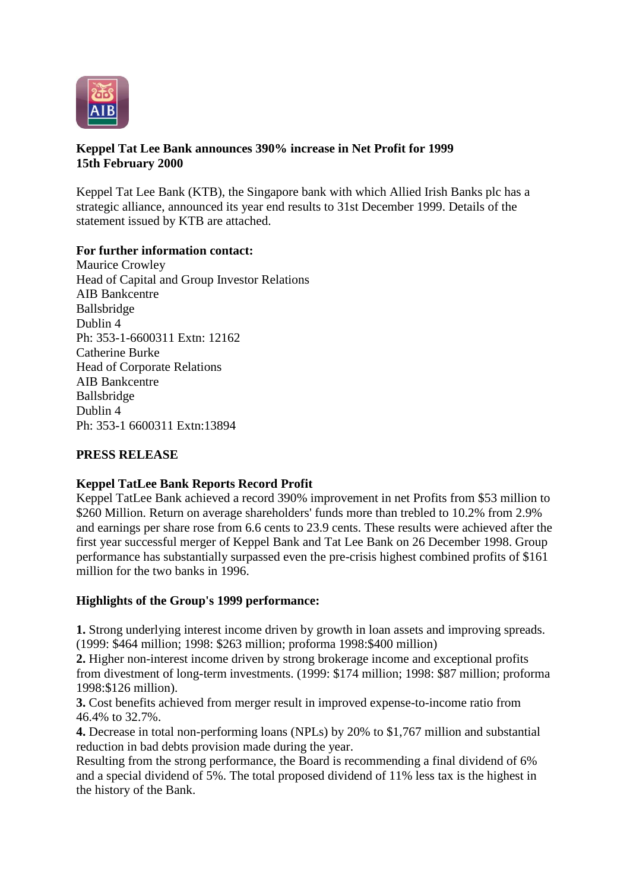

### **Keppel Tat Lee Bank announces 390% increase in Net Profit for 1999 15th February 2000**

Keppel Tat Lee Bank (KTB), the Singapore bank with which Allied Irish Banks plc has a strategic alliance, announced its year end results to 31st December 1999. Details of the statement issued by KTB are attached.

### **For further information contact:**

Maurice Crowley Head of Capital and Group Investor Relations AIB Bankcentre Ballsbridge Dublin 4 Ph: 353-1-6600311 Extn: 12162 Catherine Burke Head of Corporate Relations AIB Bankcentre Ballsbridge Dublin 4 Ph: 353-1 6600311 Extn:13894

### **PRESS RELEASE**

#### **Keppel TatLee Bank Reports Record Profit**

Keppel TatLee Bank achieved a record 390% improvement in net Profits from \$53 million to \$260 Million. Return on average shareholders' funds more than trebled to 10.2% from 2.9% and earnings per share rose from 6.6 cents to 23.9 cents. These results were achieved after the first year successful merger of Keppel Bank and Tat Lee Bank on 26 December 1998. Group performance has substantially surpassed even the pre-crisis highest combined profits of \$161 million for the two banks in 1996.

#### **Highlights of the Group's 1999 performance:**

**1.** Strong underlying interest income driven by growth in loan assets and improving spreads. (1999: \$464 million; 1998: \$263 million; proforma 1998:\$400 million)

**2.** Higher non-interest income driven by strong brokerage income and exceptional profits from divestment of long-term investments. (1999: \$174 million; 1998: \$87 million; proforma 1998:\$126 million).

**3.** Cost benefits achieved from merger result in improved expense-to-income ratio from 46.4% to 32.7%.

**4.** Decrease in total non-performing loans (NPLs) by 20% to \$1,767 million and substantial reduction in bad debts provision made during the year.

Resulting from the strong performance, the Board is recommending a final dividend of 6% and a special dividend of 5%. The total proposed dividend of 11% less tax is the highest in the history of the Bank.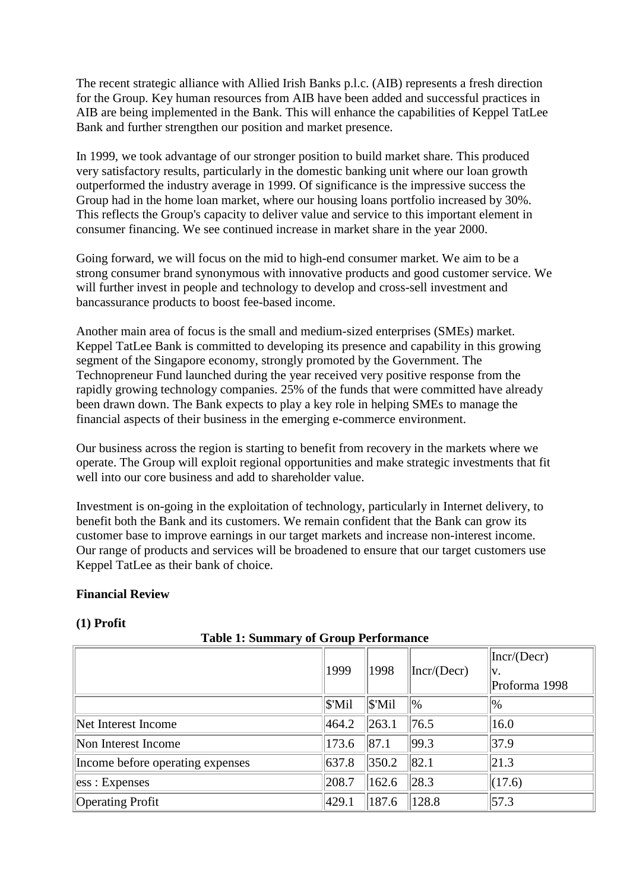The recent strategic alliance with Allied Irish Banks p.l.c. (AIB) represents a fresh direction for the Group. Key human resources from AIB have been added and successful practices in AIB are being implemented in the Bank. This will enhance the capabilities of Keppel TatLee Bank and further strengthen our position and market presence.

In 1999, we took advantage of our stronger position to build market share. This produced very satisfactory results, particularly in the domestic banking unit where our loan growth outperformed the industry average in 1999. Of significance is the impressive success the Group had in the home loan market, where our housing loans portfolio increased by 30%. This reflects the Group's capacity to deliver value and service to this important element in consumer financing. We see continued increase in market share in the year 2000.

Going forward, we will focus on the mid to high-end consumer market. We aim to be a strong consumer brand synonymous with innovative products and good customer service. We will further invest in people and technology to develop and cross-sell investment and bancassurance products to boost fee-based income.

Another main area of focus is the small and medium-sized enterprises (SMEs) market. Keppel TatLee Bank is committed to developing its presence and capability in this growing segment of the Singapore economy, strongly promoted by the Government. The Technopreneur Fund launched during the year received very positive response from the rapidly growing technology companies. 25% of the funds that were committed have already been drawn down. The Bank expects to play a key role in helping SMEs to manage the financial aspects of their business in the emerging e-commerce environment.

Our business across the region is starting to benefit from recovery in the markets where we operate. The Group will exploit regional opportunities and make strategic investments that fit well into our core business and add to shareholder value.

Investment is on-going in the exploitation of technology, particularly in Internet delivery, to benefit both the Bank and its customers. We remain confident that the Bank can grow its customer base to improve earnings in our target markets and increase non-interest income. Our range of products and services will be broadened to ensure that our target customers use Keppel TatLee as their bank of choice.

#### **Financial Review**

#### **(1) Profit**

**Table 1: Summary of Group Performance**

|                                  | 1999               | 1998               | Incr/(Decr) | Incr/(Decr)<br>V.<br>Proforma 1998 |
|----------------------------------|--------------------|--------------------|-------------|------------------------------------|
|                                  | $\mathcal{S}'$ Mil | $\mathcal{S}'$ Mil | 0/0         | $\%$                               |
| Net Interest Income              | 464.2              | 263.1              | 76.5        | 16.0                               |
| Non Interest Income              | 173.6              | 87.1               | 99.3        | 37.9                               |
| Income before operating expenses | 637.8              | 350.2              | 82.1        | 21.3                               |
| ess : Expenses                   | 208.7              | 162.6              | 28.3        | (17.6)                             |
| <b>Operating Profit</b>          | 429.1              | 187.6              | 128.8       | 57.3                               |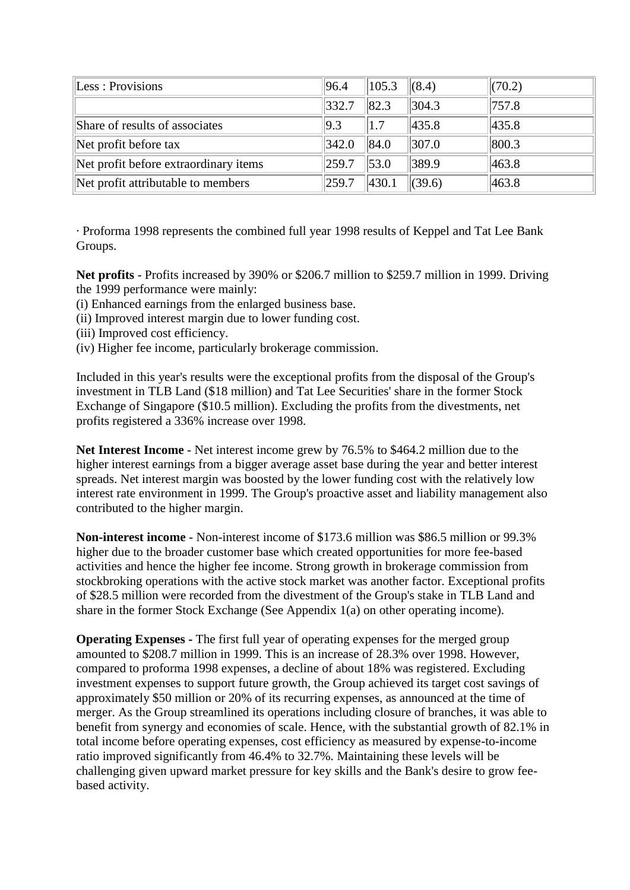| Less: Provisions                      | 96.4  | 105.3 | (8.4)  | (70.2) |
|---------------------------------------|-------|-------|--------|--------|
|                                       | 332.7 | 82.3  | 304.3  | 757.8  |
| Share of results of associates        | 9.3   | 1.7   | 435.8  | 435.8  |
| Net profit before tax                 | 342.0 | 84.0  | 307.0  | 800.3  |
| Net profit before extraordinary items | 259.7 | 53.0  | 389.9  | 463.8  |
| Net profit attributable to members    | 259.7 | 430.1 | (39.6) | 463.8  |

· Proforma 1998 represents the combined full year 1998 results of Keppel and Tat Lee Bank Groups.

**Net profits** - Profits increased by 390% or \$206.7 million to \$259.7 million in 1999. Driving the 1999 performance were mainly:

- (i) Enhanced earnings from the enlarged business base.
- (ii) Improved interest margin due to lower funding cost.
- (iii) Improved cost efficiency.
- (iv) Higher fee income, particularly brokerage commission.

Included in this year's results were the exceptional profits from the disposal of the Group's investment in TLB Land (\$18 million) and Tat Lee Securities' share in the former Stock Exchange of Singapore (\$10.5 million). Excluding the profits from the divestments, net profits registered a 336% increase over 1998.

**Net Interest Income** - Net interest income grew by 76.5% to \$464.2 million due to the higher interest earnings from a bigger average asset base during the year and better interest spreads. Net interest margin was boosted by the lower funding cost with the relatively low interest rate environment in 1999. The Group's proactive asset and liability management also contributed to the higher margin.

**Non-interest income** - Non-interest income of \$173.6 million was \$86.5 million or 99.3% higher due to the broader customer base which created opportunities for more fee-based activities and hence the higher fee income. Strong growth in brokerage commission from stockbroking operations with the active stock market was another factor. Exceptional profits of \$28.5 million were recorded from the divestment of the Group's stake in TLB Land and share in the former Stock Exchange (See Appendix 1(a) on other operating income).

**Operating Expenses -** The first full year of operating expenses for the merged group amounted to \$208.7 million in 1999. This is an increase of 28.3% over 1998. However, compared to proforma 1998 expenses, a decline of about 18% was registered. Excluding investment expenses to support future growth, the Group achieved its target cost savings of approximately \$50 million or 20% of its recurring expenses, as announced at the time of merger. As the Group streamlined its operations including closure of branches, it was able to benefit from synergy and economies of scale. Hence, with the substantial growth of 82.1% in total income before operating expenses, cost efficiency as measured by expense-to-income ratio improved significantly from 46.4% to 32.7%. Maintaining these levels will be challenging given upward market pressure for key skills and the Bank's desire to grow feebased activity.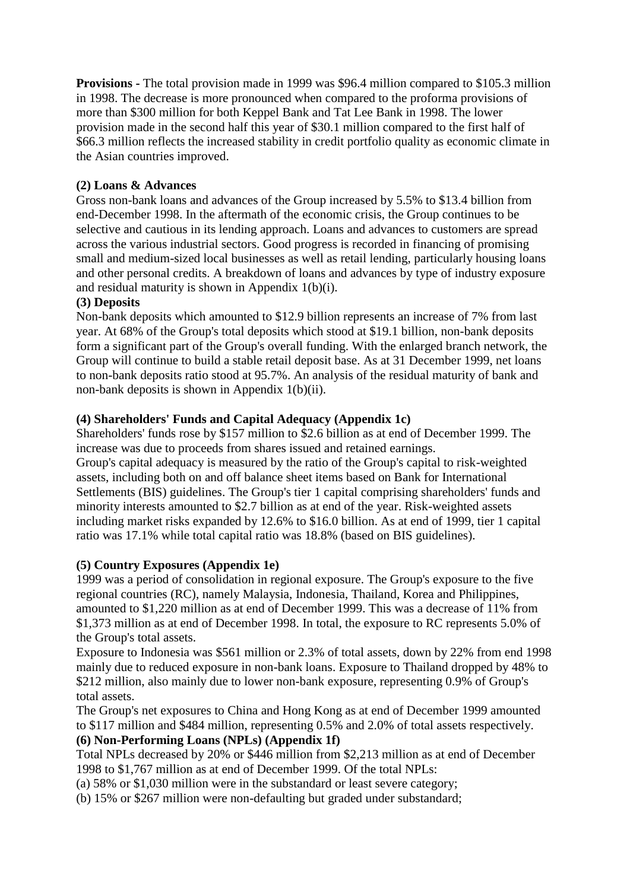**Provisions -** The total provision made in 1999 was \$96.4 million compared to \$105.3 million in 1998. The decrease is more pronounced when compared to the proforma provisions of more than \$300 million for both Keppel Bank and Tat Lee Bank in 1998. The lower provision made in the second half this year of \$30.1 million compared to the first half of \$66.3 million reflects the increased stability in credit portfolio quality as economic climate in the Asian countries improved.

## **(2) Loans & Advances**

Gross non-bank loans and advances of the Group increased by 5.5% to \$13.4 billion from end-December 1998. In the aftermath of the economic crisis, the Group continues to be selective and cautious in its lending approach. Loans and advances to customers are spread across the various industrial sectors. Good progress is recorded in financing of promising small and medium-sized local businesses as well as retail lending, particularly housing loans and other personal credits. A breakdown of loans and advances by type of industry exposure and residual maturity is shown in Appendix  $1(b)(i)$ .

## **(3) Deposits**

Non-bank deposits which amounted to \$12.9 billion represents an increase of 7% from last year. At 68% of the Group's total deposits which stood at \$19.1 billion, non-bank deposits form a significant part of the Group's overall funding. With the enlarged branch network, the Group will continue to build a stable retail deposit base. As at 31 December 1999, net loans to non-bank deposits ratio stood at 95.7%. An analysis of the residual maturity of bank and non-bank deposits is shown in Appendix 1(b)(ii).

## **(4) Shareholders' Funds and Capital Adequacy (Appendix 1c)**

Shareholders' funds rose by \$157 million to \$2.6 billion as at end of December 1999. The increase was due to proceeds from shares issued and retained earnings. Group's capital adequacy is measured by the ratio of the Group's capital to risk-weighted assets, including both on and off balance sheet items based on Bank for International Settlements (BIS) guidelines. The Group's tier 1 capital comprising shareholders' funds and minority interests amounted to \$2.7 billion as at end of the year. Risk-weighted assets including market risks expanded by 12.6% to \$16.0 billion. As at end of 1999, tier 1 capital ratio was 17.1% while total capital ratio was 18.8% (based on BIS guidelines).

# **(5) Country Exposures (Appendix 1e)**

1999 was a period of consolidation in regional exposure. The Group's exposure to the five regional countries (RC), namely Malaysia, Indonesia, Thailand, Korea and Philippines, amounted to \$1,220 million as at end of December 1999. This was a decrease of 11% from \$1,373 million as at end of December 1998. In total, the exposure to RC represents 5.0% of the Group's total assets.

Exposure to Indonesia was \$561 million or 2.3% of total assets, down by 22% from end 1998 mainly due to reduced exposure in non-bank loans. Exposure to Thailand dropped by 48% to \$212 million, also mainly due to lower non-bank exposure, representing 0.9% of Group's total assets.

The Group's net exposures to China and Hong Kong as at end of December 1999 amounted to \$117 million and \$484 million, representing 0.5% and 2.0% of total assets respectively.

## **(6) Non-Performing Loans (NPLs) (Appendix 1f)**

Total NPLs decreased by 20% or \$446 million from \$2,213 million as at end of December 1998 to \$1,767 million as at end of December 1999. Of the total NPLs:

(a) 58% or \$1,030 million were in the substandard or least severe category;

(b) 15% or \$267 million were non-defaulting but graded under substandard;